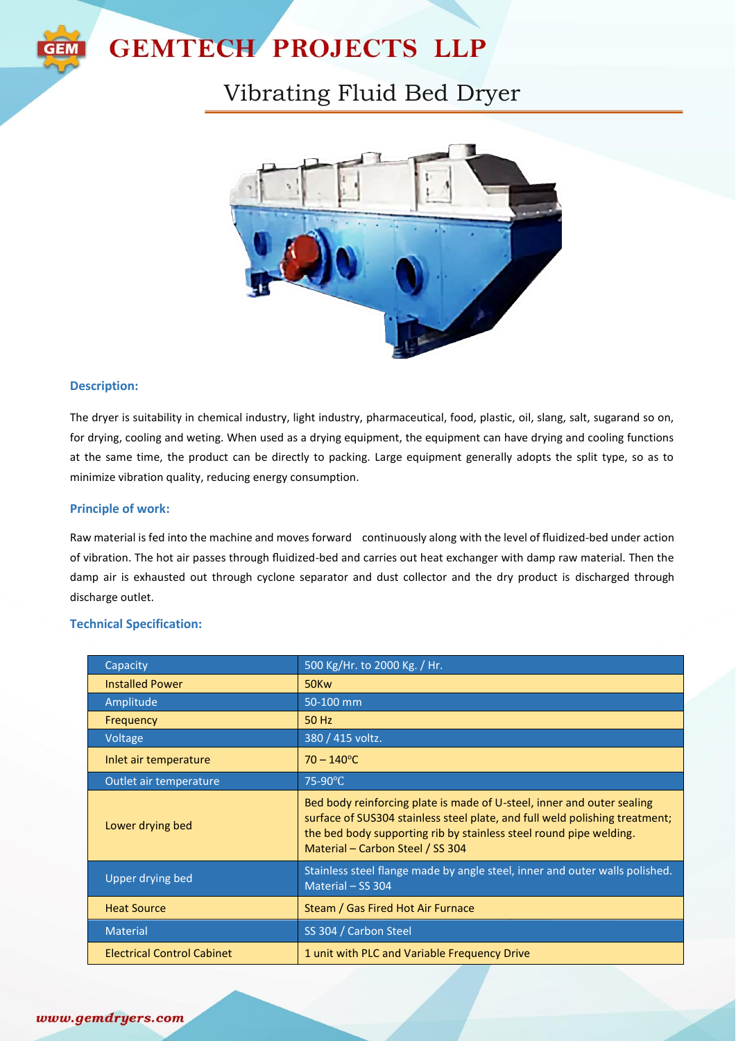

# **GEMTECH PROJECTS LLP**

# Vibrating Fluid Bed Dryer



### **Description:**

The dryer is suitability in chemical industry, light industry, pharmaceutical, food, plastic, oil, slang, salt, sugarand so on, for drying, cooling and weting. When used as a drying equipment, the equipment can have drying and cooling functions at the same time, the product can be directly to packing. Large equipment generally adopts the split type, so as to minimize vibration quality, reducing energy consumption.

### **Principle of work:**

Raw material is fed into the machine and moves forward continuously along with the level of fluidized-bed under action of vibration. The hot air passes through fluidized-bed and carries out heat exchanger with damp raw material. Then the damp air is exhausted out through cyclone separator and dust collector and the dry product is discharged through discharge outlet.

### **Technical Specification:**

| Capacity                          | 500 Kg/Hr. to 2000 Kg. / Hr.                                                                                                                                                                                                                                    |
|-----------------------------------|-----------------------------------------------------------------------------------------------------------------------------------------------------------------------------------------------------------------------------------------------------------------|
| <b>Installed Power</b>            | 50Kw                                                                                                                                                                                                                                                            |
| Amplitude                         | 50-100 mm                                                                                                                                                                                                                                                       |
| Frequency                         | 50 Hz                                                                                                                                                                                                                                                           |
| Voltage                           | 380 / 415 voltz.                                                                                                                                                                                                                                                |
| Inlet air temperature             | $70 - 140^{\circ}$ C                                                                                                                                                                                                                                            |
| Outlet air temperature            | 75-90°C                                                                                                                                                                                                                                                         |
| Lower drying bed                  | Bed body reinforcing plate is made of U-steel, inner and outer sealing<br>surface of SUS304 stainless steel plate, and full weld polishing treatment;<br>the bed body supporting rib by stainless steel round pipe welding.<br>Material – Carbon Steel / SS 304 |
| Upper drying bed                  | Stainless steel flange made by angle steel, inner and outer walls polished.<br>Material - SS 304                                                                                                                                                                |
| <b>Heat Source</b>                | Steam / Gas Fired Hot Air Furnace                                                                                                                                                                                                                               |
| <b>Material</b>                   | SS 304 / Carbon Steel                                                                                                                                                                                                                                           |
| <b>Electrical Control Cabinet</b> | 1 unit with PLC and Variable Frequency Drive                                                                                                                                                                                                                    |